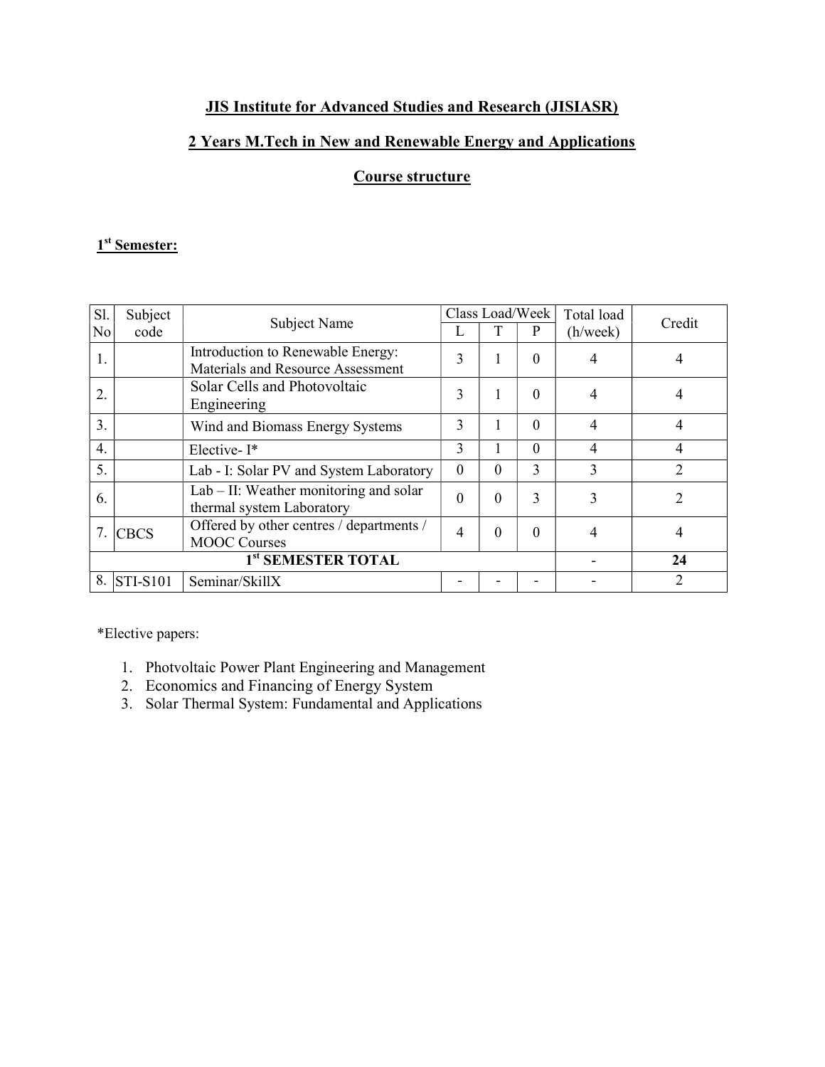# JIS Institute for Advanced Studies and Research (JISIASR)

### 2 Years M.Tech in New and Renewable Energy and Applications

## Course structure

#### 1<sup>st</sup> Semester:

| S1.                            | Subject     | Subject Name                                                           | Class Load/Week |          | Total load | Credit   |                |
|--------------------------------|-------------|------------------------------------------------------------------------|-----------------|----------|------------|----------|----------------|
| No                             | code        |                                                                        |                 |          | P          | (h/week) |                |
| 1.                             |             | Introduction to Renewable Energy:<br>Materials and Resource Assessment | 3               |          | $\theta$   | 4        | 4              |
| 2.                             |             | Solar Cells and Photovoltaic<br>Engineering                            | 3               | 1        | $\theta$   | 4        | 4              |
| 3.                             |             | Wind and Biomass Energy Systems                                        | 3               |          | $\theta$   | 4        | 4              |
| $\overline{4}$ .               |             | Elective-I*                                                            | 3               |          | $\theta$   | 4        | 4              |
| 5.                             |             | Lab - I: Solar PV and System Laboratory                                | $\Omega$        | $\Omega$ | 3          | 3        | $\overline{2}$ |
| 6.                             |             | $Lab$ – II: Weather monitoring and solar<br>thermal system Laboratory  | $\Omega$        | $\Omega$ | 3          | 3        | 2              |
| 7.                             | <b>CBCS</b> | Offered by other centres / departments /<br><b>MOOC Courses</b>        | 4               | $\theta$ | $\theta$   | 4        | 4              |
| 1 <sup>st</sup> SEMESTER TOTAL |             |                                                                        |                 |          |            |          | 24             |
| 8.                             | $STI-S101$  | Seminar/SkillX                                                         |                 |          |            |          | 2              |

\*Elective papers:

- 1. Photvoltaic Power Plant Engineering and Management
- 2. Economics and Financing of Energy System
- 3. Solar Thermal System: Fundamental and Applications